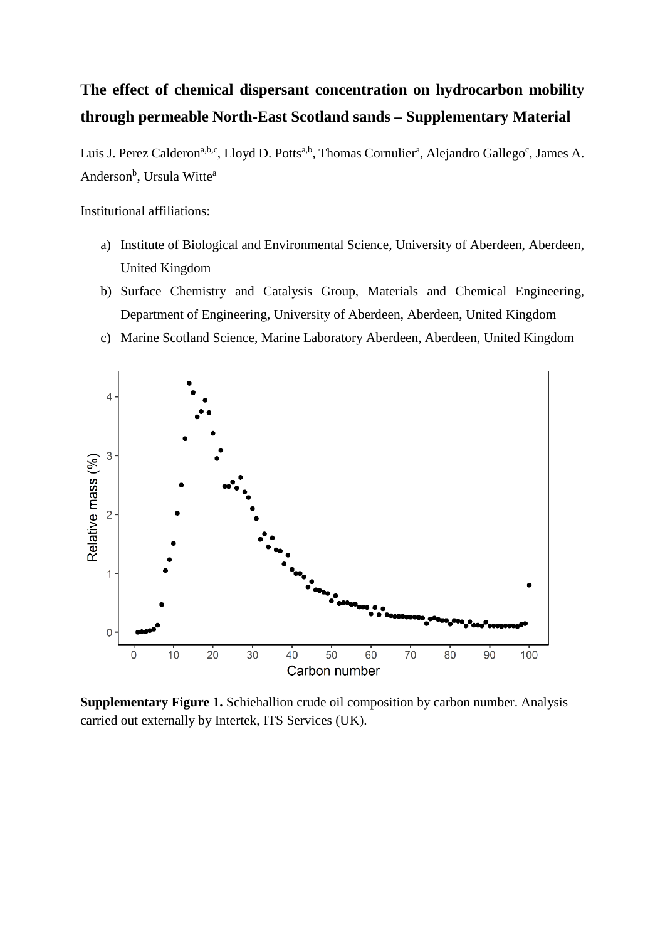## **The effect of chemical dispersant concentration on hydrocarbon mobility through permeable North-East Scotland sands – Supplementary Material**

Luis J. Perez Calderon<sup>a,b,c</sup>, Lloyd D. Potts<sup>a,b</sup>, Thomas Cornulier<sup>a</sup>, Alejandro Gallego<sup>c</sup>, James A. Anderson<sup>b</sup>, Ursula Witte<sup>a</sup>

Institutional affiliations:

- a) Institute of Biological and Environmental Science, University of Aberdeen, Aberdeen, United Kingdom
- b) Surface Chemistry and Catalysis Group, Materials and Chemical Engineering, Department of Engineering, University of Aberdeen, Aberdeen, United Kingdom
- c) Marine Scotland Science, Marine Laboratory Aberdeen, Aberdeen, United Kingdom



**Supplementary Figure 1.** Schiehallion crude oil composition by carbon number. Analysis carried out externally by Intertek, ITS Services (UK).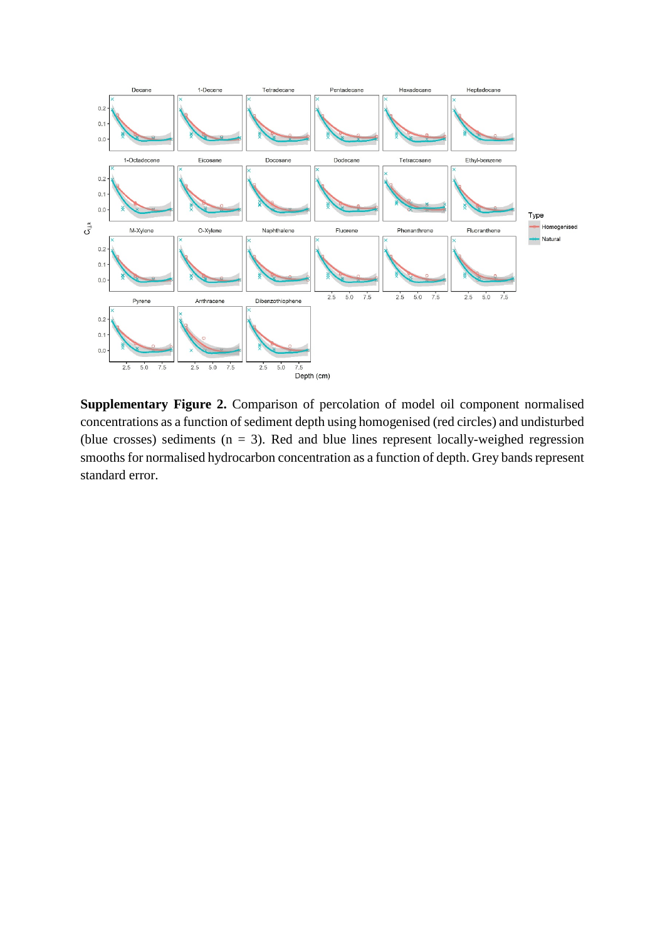

**Supplementary Figure 2.** Comparison of percolation of model oil component normalised concentrations as a function of sediment depth using homogenised (red circles) and undisturbed (blue crosses) sediments  $(n = 3)$ . Red and blue lines represent locally-weighed regression smooths for normalised hydrocarbon concentration as a function of depth. Grey bands represent standard error.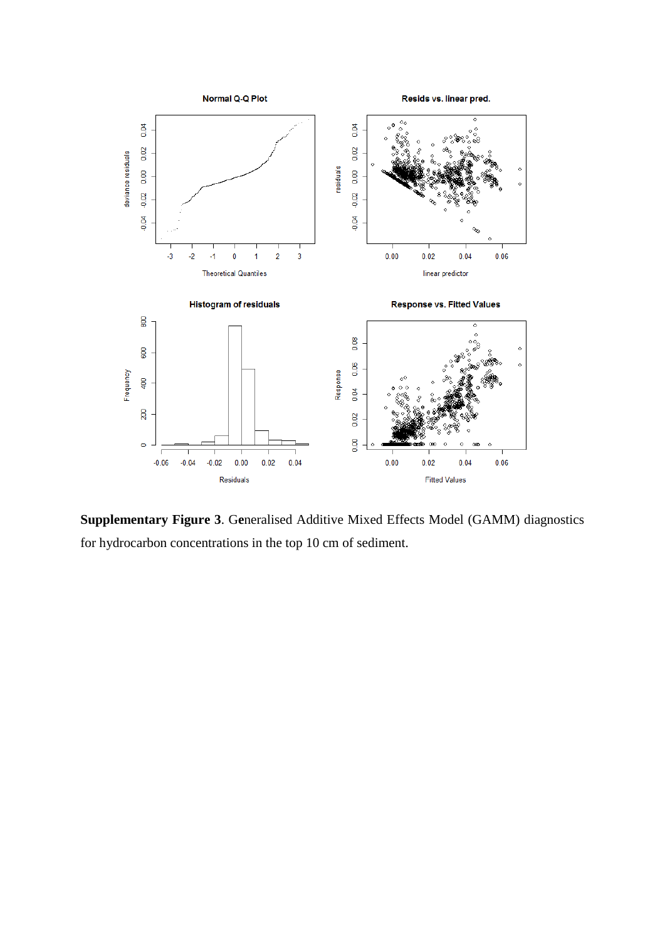

**Supplementary Figure 3**. G**e**neralised Additive Mixed Effects Model (GAMM) diagnostics for hydrocarbon concentrations in the top 10 cm of sediment.